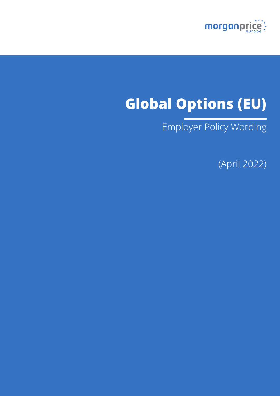

# **Global Options (EU)**

## Employer Policy Wording

(April 2022)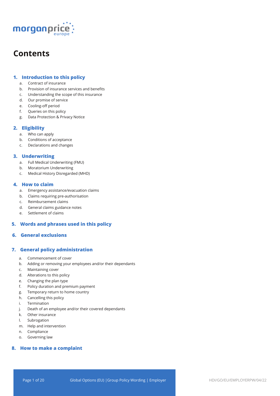

## **Contents**

## **1. Introduction to this policy**

- a. Contract of insurance
- b. Provision of insurance services and benefits
- c. Understanding the scope of this insurance
- d. Our promise of service
- e. Cooling-off period
- f. Queries on this policy
- g. Data Protection & Privacy Notice

## **2. Eligibility**

- a. Who can apply
- b. Conditions of acceptance
- c. Declarations and changes

## **3. Underwriting**

- a. Full Medical Underwriting (FMU)
- b. Moratorium Underwriting
- c. Medical History Disregarded (MHD)

## **4. How to claim**

- a. Emergency assistance/evacuation claims
- b. Claims requiring pre-authorisation
- c. Reimbursement claims
- d. General claims guidance notes
- e. Settlement of claims

## **5. Words and phrases used in this policy**

## **6. General exclusions**

## **7. General policy administration**

- a. Commencement of cover
- b. Adding or removing your employees and/or their dependants
- c. Maintaining cover
- d. Alterations to this policy
- e. Changing the plan type
- f. Policy duration and premium payment
- g. Temporary return to home country
- h. Cancelling this policy
- i. Termination
- j. Death of an employee and/or their covered dependants
- k. Other insurance
- l. Subrogation
- m. Help and intervention
- n. Compliance
- o. Governing law

## **8. How to make a complaint**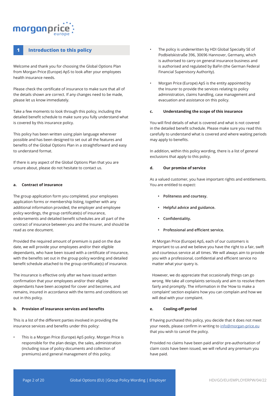## morganpri

## **1 Introduction to this policy**

Welcome and thank you for choosing the Global Options Plan from Morgan Price (Europe) ApS to look after your employees health insurance needs.

Please check the certificate of insurance to make sure that all of the details shown are correct. If any changes need to be made, please let us know immediately.

Take a few moments to look through this policy, including the detailed benefit schedule to make sure you fully understand what is covered by this insurance policy.

This policy has been written using plain language wherever possible and has been designed to set out all the features and benefits of the Global Options Plan in a straightforward and easy to understand format.

If there is any aspect of the Global Options Plan that you are unsure about, please do not hesitate to contact us.

#### **a. Contract of insurance**

The group application form you completed, your employees application forms or membership listing, together with any additional information provided, the employer and employee policy wordings, the group certificate(s) of insurance, endorsements and detailed benefit schedules are all part of the contract of insurance between you and the Insurer, and should be read as one document.

Provided the required amount of premium is paid on the due date, we will provide your employees and/or their eligible dependants, who have been issued with a certificate of insurance, with the benefits set out in the group policy wording and detailed benefit schedule attached to the group certificate(s) of insurance.

The insurance is effective only after we have issued written confirmation that your employees and/or their eligible dependants have been accepted for cover and becomes, and remains, insured in accordance with the terms and conditions set out in this policy.

#### **b. Provision of insurance services and benefits**

This is a list of the different parties involved in providing the insurance services and benefits under this policy:

• This is a Morgan Price (Europe) ApS policy. Morgan Price is responsible for the plan design, the sales, administration (including issue of policy documents and collection of premiums) and general management of this policy.

- The policy is underwritten by HDI Global Specialty SE of Podbielskistraße 396, 30696 Hannover, Germany, which is authorised to carry on general insurance business and is authorised and regulated by BaFin (the German Federal Financial Supervisory Authority).
- Morgan Price (Europe) ApS is the entity appointed by the Insurer to provide the services relating to policy administration, claims handling, case management and evacuation and assistance on this policy.

#### **c. Understanding the scope of this insurance**

You will find details of what is covered and what is not covered in the detailed benefit schedule. Please make sure you read this carefully to understand what is covered and where waiting periods may apply to benefits.

In addition, within this policy wording, there is a list of general exclusions that apply to this policy.

#### **d. Our promise of service**

As a valued customer, you have important rights and entitlements. You are entitled to expect:

- **• Politeness and courtesy.**
- **• Helpful advice and guidance.**
- **• Confidentiality.**
- **• Professional and efficient service.**

At Morgan Price (Europe) ApS, each of our customers is important to us and we believe you have the right to a fair, swift and courteous service at all times. We will always aim to provide you with a professional, confidential and efficient service no matter what your query is.

However, we do appreciate that occasionally things can go wrong. We take all complaints seriously and aim to resolve them fairly and promptly. The information in the 'How to make a complaint' section explains how you can complain and how we will deal with your complaint.

## **e. Cooling-off period**

If having purchased this policy, you decide that it does not meet your needs, please confirm in writing to info@morgan-price.eu that you wish to cancel the policy.

Provided no claims have been paid and/or pre-authorisation of claim costs have been issued, we will refund any premium you have paid.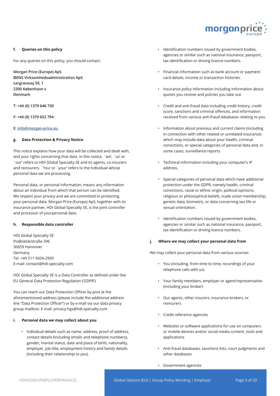

#### **f. Queries on this policy**

For any queries on this policy, you should contact:

**Morgan Price (Europe) ApS ØENS Virksomhedsadministration ApS Lergravsvej 59, 1 2300 København s Denmark** 

**T: +44 (0) 1379 646 730**

**F: +44 (0) 1379 652 794**

#### **E: info@morgan-price.eu**

#### **g. Data Protection & Privacy Notice**

This notice explains how your data will be collected and dealt with, and your rights concerning that data. In this notice, `we', `us' or `our' refers to HDI Global Specialty SE and its agents, co-insurers and reinsurers. `You' or `your' refers to the individual whose personal data we are processing.

Personal data, or personal information, means any information about an individual from which that person can be identified. We respect your privacy and we are committed to protecting your personal data. Morgan Price (Europe) ApS, together with its insurance partner, HDI Global Specialty SE, is the joint controller and processor of yourpersonal data.

#### **h. Responsible data controller**

HDI Global Specialty SE Podbielskistraße 396 30659 Hannover Germany Tel. +49 511 5604-2909 E-mail: contact@hdi-specialty.com

HDI Global Specialty SE is a Data Controller as defined under the EU General Data Protection Regulation ('GDPR').

You can reach our Data Protection Officer by post at the aforementioned address (please include the additional address line "Data Protection Officer") or by e-mail via our data privacy group mailbox: E-mail: privacy-hgs@hdi-specialty.com

#### **i. Personal data we may collect about you**

• Individual details such as name, address, proof of address, contact details (including emails and telephone numbers), gender, marital status, date and place of birth, nationality, employer, job title, employment history and family details (including their relationship to you).

- Identification numbers issued by government bodies, agencies or similar such as national insurance, passport, tax identification or driving licence numbers.
- Financial information such as bank account or payment card details, income or transaction histories.
- Insurance policy information including information about quotes you receive and policies you take out.
- Credit and anti-fraud data including credit history, credit score, sanctions and criminal offences, and information received from various anti-fraud databases relating to you.
- Information about previous and current claims (including in connection with other related or unrelated insurance) which may include data about your health, criminal convictions, or special categories of personal data and, in some cases, surveillance reports.
- Technical information including your computer's IP address.
- Special categories of personal data which have additional protection under the GDPR, namely health, criminal convictions, racial or ethnic origin, political opinions, religious or philosophical beliefs, trade union membership, genetic data, biometric, or data concerning sex life or sexual orientation.
- Identification numbers issued by government bodies, agencies or similar such as national insurance, passport, tax identification or driving licence numbers.

#### **j. Where we may collect your personal data from**

We may collect your personal data from various sources:

- You (including, from time to time, recordings of your telephone calls with us)
- Your family members, employer or agent/representative (including your broker)
- Our agents, other insurers, insurance brokers, or reinsurers
- Credit reference agencies
- Websites or software applications for use on computers or mobile devices and/or social media content, tools and applications
- Anti-fraud databases, sanctions lists, court judgments and other databases
- Government agencies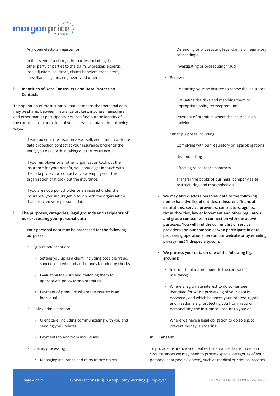

- Any open electoral register; or
- In the event of a claim, third parties including the other party or parties to the claim, witnesses, experts, loss adjusters, solicitors, claims handlers, translators, surveillance agents, engineers and others.

## **k. Identities of Data Controllers and Data Protection Contacts**

The operation of the insurance market means that personal data may be shared between insurance brokers, insurers, reinsurers and other market participants. You can find out the identity of the controller or controllers of your personal data in the following ways:

- If you took out the insurance yourself, get in touch with the data protection contact at your insurance broker or the entity you dealt with in taking out the insurance.
- If your employer or another organisation took out the insurance for your benefit, you should get in touch with the data protection contact at your employer or the organisation that took out the insurance.
- If you are not a policyholder or an insured under the insurance, you should get in touch with the organisation that collected your personal data.
- **l. The purposes, categories, legal grounds and recipients of our processing your personal data**
	- **• Your personal data may be processed for the following purposes:** 
		- Quotation/inception:
			- Setting you up as a client, including possible fraud, sanctions, credit and anti-money laundering checks
			- Evaluating the risks and matching them to appropriate policy terms/premium
			- Payment of premium where the insured is an individual
		- Policy administration
			- Client care, including communicating with you and sending you updates
			- Payments to and from individuals
		- Claims processing:
			- Managing insurance and reinsurance claims
- Defending or prosecuting legal claims or regulatory proceedings
- Investigating or prosecuting fraud
- Renewals
	- Contacting you/the insured to renew the insurance
	- Evaluating the risks and matching them to appropriate policy terms/premium
	- Payment of premium where the insured is an individual
- Other purposes including:
	- Complying with our regulatory or legal obligations
	- Risk modelling
	- Effecting reinsurance contracts
	- Transferring books of business, company sales, restructuring and reorganisation.
- **• We may also disclose personal data to the following non-exhaustive list of entities: reinsurers, financial institutions, service providers, contractors, agents, tax authorities, law enforcement and other regulators and group companies in connection with the above purposes. You will find the current list of service providers and our companies who participate in dataprocessing operations hereon our website or by emailing privacy-hgs@hdi-specialty.com.**
- **• We process your data on one of the following legal grounds:**
	- In order to place and operate the contract(s) of insurance;
	- Where a legitimate interest to do so has been identified for which processing of your data is necessary and which balances your interest, rights and freedoms e.g. protecting you from fraud or personalising the insurance product to you; or
	- Where we have a legal obligation to do so e.g. to prevent money laundering.

## **m. Consent**

To provide insurance and deal with insurance claims in certain circumstances we may need to process special categories of your personal data (see 2.8 above), such as medical or criminal records.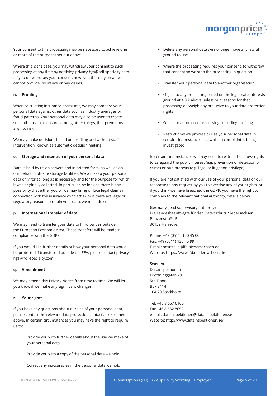

Your consent to this processing may be necessary to achieve one or more of the purposes set out above.

Where this is the case, you may withdraw your consent to such processing at any time by notifying privacy-hgs@hdi-specialty.com . If you do withdraw your consent, however, this may mean we cannot provide insurance or pay claims.

#### **n. Profiling**

When calculating insurance premiums, we may compare your personal data against other data such as industry averages or fraud patterns. Your personal data may also be used to create such other data to ensure, among other things, that premiums align to risk.

We may make decisions based on profiling and without staff intervention (known as automatic decision making).

#### **o. Storage and retention of your personal data**

Data is held by us on servers and in printed form, as well as on our behalf in off-site storage facilities. We will keep your personal data only for so long as is necessary and for the purpose for which it was originally collected. In particular, so long as there is any possibility that either you or we may bring or face legal claims in connection with the insurance contract(s), or if there are legal or regulatory reasons to retain your data, we must do so.

#### **p. International transfer of data**

We may need to transfer your data to third parties outside the European Economic Area. These transfers will be made in compliance with the GDPR.

If you would like further details of how your personal data would be protected if transferred outside the EEA, please contact privacyhgs@hdi-specialty.com.

#### **q. Amendment**

We may amend this Privacy Notice from time to time. We will let you know if we make any significant changes.

#### **r. Your rights**

If you have any questions about our use of your personal data, please contact the relevant data protection contact as explained above. In certain circumstances you may have the right to require us to:

- Provide you with further details about the use we make of your personal data
- Provide you with a copy of the personal data we hold
- Correct any inaccuracies in the personal data we hold
- Delete any personal data we no longer have any lawful ground to use
- Where the processing requires your consent, to withdraw that consent so we stop the processing in question
- Transfer your personal data to another organisation
- Object to any processing based on the legitimate interests ground at 4.3.2 above unless our reasons for that processing outweigh any prejudice to your data protection rights
- Object to automated processing, including profiling
- Restrict how we process or use your personal data in certain circumstances e.g. whilst a complaint is being investigated.

In certain circumstances we may need to restrict the above rights to safeguard the public interest (e.g. prevention or detection of crime) or our interests (e.g. legal or litigation privilege).

If you are not satisfied with our use of your personal data or our response to any request by you to exercise any of your rights, or if you think we have breached the GDPR, you have the right to complain to the relevant national authority, details below.

**Germany** (lead supervisory authority) Die Landesbeauftragte für den Datenschutz Niedersachsen Prinzenstraße 5 30159 Hannover

Phone: +49 (0511) 120 45 00 Fax: +49 (0511) 120 45 99 E-mail: poststelle@lfd.niedersachsen.de Website: https://www.lfd.niedersachsen.de

#### **Sweden**

Datainspektionen Drottninggatan 29 5th Floor Box 8114 104 20 Stockholm

Tel. +46 8 657 6100 Fax +46 8 652 8652 e-mail: datainspektionen@datainspektionen.se Website: http://www.datainspektionen.se/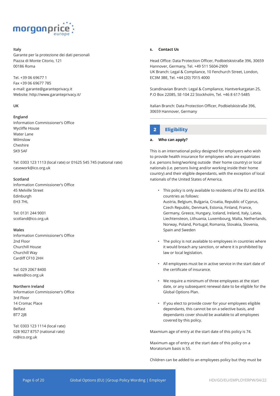

## **Italy**

Garante per la protezione dei dati personali Piazza di Monte Citorio, 121 00186 Roma

Tel. +39 06 69677 1 Fax +39 06 69677 785 e-mail: garante@garanteprivacy.it Website: http://www.garanteprivacy.it/

#### **UK**

#### **England**

Information Commissioner's Office Wycliffe House Water Lane Wilmslow Cheshire SK9 5AF

Tel: 0303 123 1113 (local rate) or 01625 545 745 (national rate) casework@ico.org.uk

#### **Scotland**

Information Commissioner's Office 45 Melville Street Edinburgh EH3 7HL

Tel: 0131 244 9001 scotland@ico.org.uk

#### **Wales**

Information Commissioner's Office 2nd Floor Churchill House Churchill Way Cardiff CF10 2HH

Tel: 029 2067 8400 wales@ico.org.uk

#### **Northern Ireland**

Information Commissioner's Office 3rd Floor 14 Cromac Place Belfast BT7 2JB

Tel: 0303 123 1114 (local rate) 028 9027 8757 (national rate) ni@ico.org.uk

#### **s. Contact Us**

Head Office: Data Protection Officer, Podbielskistraße 396, 30659 Hannover, Germany, Tel. +49 511 5604-2909 UK Branch: Legal & Compliance, 10 Fenchurch Street, London, EC3M 3BE, Tel. +44 (20) 7015 4000

Scandinavian Branch: Legal & Compliance, Hantverkargatan 25, P.O Box 22085, SE-104 22 Stockholm, Tel. +46 8 617-5485

Italian Branch: Data Protection Officer, Podbielskistraße 396, 30659 Hannover, Germany

## **2 Eligibility**

#### **a. Who can apply?**

This is an international policy designed for employers who wish to provide health insurance for employees who are expatriates (i.e. persons living/working outside their home country) or local nationals (i.e. persons living and/or working inside their home country) and their eligible dependants, with the exception of local nationals of the United States of America.

- This policy is only available to residents of the EU and EEA countries as follows: Austria, Belgium, Bulgaria, Croatia, Republic of Cyprus, Czech Republic, Denmark, Estonia, Finland, France, Germany, Greece, Hungary, Iceland, Ireland, Italy, Latvia, Liechtensteon, Lithuania, Luxembourg, Malta, Netherlands, Norway, Poland, Portugal, Romania, Slovakia, Slovenia, Spain and Sweden
- The policy is not available to employees in countries where it would breach any sanction, or where it is prohibited by law or local legislation.
- All employees must be in active service in the start date of the certificate of insurance.
- We require a minimum of three employees at the start date, or any subsequent renewal date to be eligible for the Global Options Plan.
- If you elect to provide cover for your employees eligible dependants, this cannot be on a selective basis, and dependants cover should be available to all employees covered by this policy.

Maxmium age of entry at the start date of this policy is 74.

Maximum age of entry at the start date of this policy on a Moratorium basis is 55.

Children can be added to an employees policy but they must be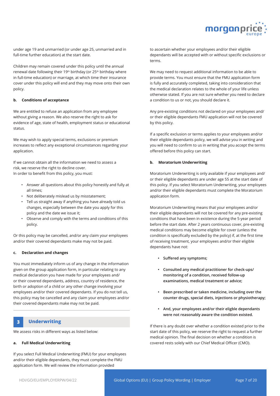

under age 19 and unmarried (or under age 25, unmarried and in full-time further education) at the start date.

Children may remain covered under this policy until the annual renewal date following their 19<sup>th</sup> birthday (or 25<sup>th</sup> birthday where in full-time education) or marriage, at which time their insurance cover under this policy will end and they may move onto their own policy.

#### **b. Conditions of acceptance**

We are entitled to refuse an application from any employee without giving a reason. We also reserve the right to ask for evidence of age, state of health, employment status or educational status.

We may wish to apply special terms, exclusions or premium increases to reflect any exceptional circumstances regarding your application.

If we cannot obtain all the information we need to assess a risk, we reserve the right to decline cover. In order to benefit from this policy, you must:

- Answer all questions about this policy honestly and fully at all times;
- Not deliberately mislead us by misstatement;
- Tell us straight away if anything you have already told us changes, especially between the date you apply for this policy and the date we issue it;
- Observe and comply with the terms and conditions of this policy.

Or this policy may be cancelled, and/or any claim your employees and/or their covered dependants make may not be paid.

#### **c. Declaration and changes**

You must immediately inform us of any change in the information given on the group application form, in particular relating to any medical declaration you have made for your employees and/ or their covered dependants, address, country of residence, the birth or adoption of a child or any other change involving your employees and/or their covered dependants. If you do not tell us, this policy may be cancelled and any claim your employees and/or their covered dependants make may not be paid.

## **3 Underwriting**

We assess risks in different ways as listed below:

#### **a. Full Medical Underwriting**

If you select Full Medical Underwriting (FMU) for your employees and/or their eligible dependants, they must complete the FMU application form. We will review the information provided

to ascertain whether your employees and/or their eligible dependants will be accepted with or without specific exclusions or terms.

We may need to request additional information to be able to provide terms. You must ensure that the FMU application form is fully and accurately completed, taking into consideration that the medical declaration relates to the whole of your life unless otherwise stated. If you are not sure whether you need to declare a condition to us or not, you should declare it.

Any pre-existing conditions not declared on your employees and/ or their eligible dependants FMU application will not be covered by this policy.

If a specific exclusion or terms applies to your employees and/or their eligible dependants policy, we will advise you in writing and you will need to confirm to us in writing that you accept the terms offered before this policy can start.

#### **b. Moratorium Underwriting**

Moratorium Underwriting is only available if your employees and/ or their eligible dependants are under age 55 at the start date of this policy. If you select Moratorium Underwriting, your employees and/or their eligible dependants must complete the Moratorium application form.

Moratorium Underwriting means that your employees and/or their eligible dependants will not be covered for any pre-existing conditions that have been in existence during the 5-year period before the start date. After 2 years continuous cover, pre-existing medical conditions may become eligible for cover (unless the condition is specifically excluded by the policy) if, at the first time of receiving treatment, your employees and/or their eligible dependants have not:

- **• Suffered any symptoms;**
- **• Consulted any medical practitioner for check-ups/ monitoring of a condition, received follow-up examinations, medical treatment or advice;**
- **• Been prescribed or taken medicine, including over the counter drugs, special diets, injections or physiotherapy;**
- **• And, your employees and/or their eligble dependants were not reasonably aware the condition existed.**

If there is any doubt over whether a condition existed prior to the start date of this policy, we reserve the right to request a further medical opinion. The final decision on whether a condition is covered rests solely with our Chief Medical Officer (CMO).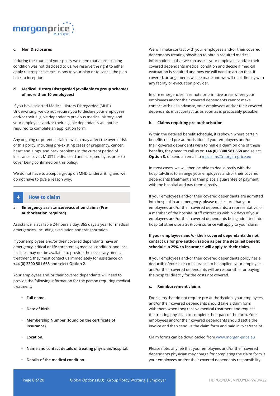

#### **c. Non Disclosures**

If during the course of your policy we deem that a pre-existing condition was not disclosed to us, we reserve the right to either apply restrospective exclusions to your plan or to cancel the plan back to inception.

## **d. Medical History Disregarded (available to group schemes of more than 10 employees)**

If you have selected Medical History Disregarded (MHD) Underwriting, we do not require you to declare your employees and/or their eligible dependants previous medical history, and your employees and/or their eligible dependants will not be required to complete an application form.

Any ongoing or potential claims, which may affect the overall risk of this policy, including pre-existing cases of pregnancy, cancer, heart and lungs, and back problems in the current period of insurance cover, MUST be disclosed and accepted by us prior to cover being confirmed on this policy.

We do not have to accept a group on MHD Underwriting and we do not have to give a reason why.

## **4 How to claim**

#### **a. Emergency assistance/evacuation claims (Preauthorisation required)**

Assistance is available 24-hours a day, 365 days a year for medical emergencies, including evacuation and transportation.

If your employees and/or their covered dependants have an emergency, critical or life-threatening medical condition, and local facilities may not be available to provide the necessary medical treatment, they must contact us immediately for assistance on **+44 (0) 3300 581 668** and select **Option 2**.

Your employees and/or their covered dependants will need to provide the following information for the person requiring medical treatment:

- **• Full name.**
- **• Date of birth.**
- **• Membership Number (found on the certificate of insurance).**
- **• Location.**
- **• Name and contact details of treating physician/hospital.**
- **• Details of the medical condition.**

We will make contact with your employees and/or their covered dependants treating physician to obtain required medical information so that we can assess your employees and/or their covered dependants medical condition and decide if medical evacuation is required and how we will need to action that. If covered, arrangements will be made and we will deal directly with any facility or evacuation provider.

In dire emergencies in remote or primitive areas where your employees and/or their covered dependants cannot make contact with us in advance, your employees and/or their covered dependants must contact us as soon as is practicably possible.

#### **b. Claims requiring pre-authorisation**

Within the detailed benefit schedule, it is shown where certain benefits need pre-authorisation. If your employees and/or their covered dependants wish to make a claim on one of these benefits, they need to call us on **+44 (0) 3300 581 668** and select **Option 3,** or send an email to *mpclaims@morgan-price.eu* 

In most cases, we will then be able to deal directly with the hospital/clinic to arrange your employees and/or their covered dependants treatment and then place a guarantee of payment with the hospital and pay them directly.

If your employees and/or their covered dependants are admitted into hospital in an emergency, please make sure that your employees and/or their covered dependants, a representative, or a member of the hospital staff contact us within 2 days of your employees and/or their covered dependants being admitted into hospital otherwise a 25% co-insurance will apply to your claim.

## **If your employees and/or their covered dependants do not contact us for pre-authorisation as per the detailed benefit schedule, a 25% co-insurance will apply to their claim.**

If your employees and/or their covered dependants policy has a deductible/excess or co-insurance to be applied, your employees and/or their covered dependants will be responsible for paying the hospital directly for the costs not covered.

#### **c. Reimbursement claims**

For claims that do not require pre-authorisation, your employees and/or their covered dependants should take a claim form with them when they receive medical treatment and request the treating physician to complete their part of the form. Your employees and/or their covered dependants should settle the invoice and then send us the claim form and paid invoice/receipt.

Claim forms can be downloaded from www.morgan-price.eu

Please note, any fee that your employees and/or their covered dependants physician may charge for completing the claim form is your employees and/or their covered dependants responsibility.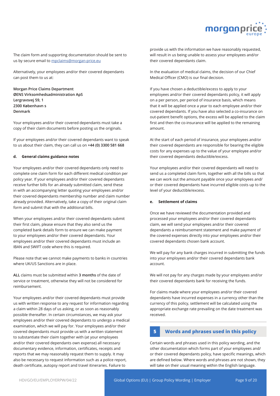

The claim form and supporting documentation should be sent to us by secure email to mpclaims@morgan-price.eu

Alternatively, your employees and/or their covered dependants can post them to us at:

**Morgan Price Claims Department ØENS Virksomhedsadministration ApS Lergravsvej 59, 1 2300 København s Denmark** 

Your employees and/or their covered dependants must take a copy of their claim documents before posting us the originals.

If your employees and/or their covered dependants want to speak to us about their claim, they can call us on **+44 (0) 3300 581 668**

#### **d. General claims guidance notes**

Your employees and/or their covered dependants only need to complete one claim form for each different medical condition per policy year. If your employees and/or their covered dependants receive further bills for an already submitted claim, send these in with an accompanying letter quoting your employees and/or their covered dependants membership number and claim number already provided. Alternatively, take a copy of their original claim form and submit that with the additional bills.

When your employees and/or their covered dependants submit their first claim, please ensure that they also send us the completed bank details form to ensure we can make payment to your employees and/or their covered dependants. Your employees and/or their covered dependants must include an IBAN and SWIFT code where this is required.

Please note that we cannot make payments to banks in countries where UK/US Sanctions are in place.

**ALL** claims must be submitted within **3 months** of the date of service or treatment, otherwise they will not be considered for reimbursement.

Your employees and/or their covered dependants must provide us with written response to any request for information regarding a claim within 28 days of us asking, or as soon as reasonably possible thereafter. In certain circumstances, we may ask your employees and/or their covered dependants to undergo a medical examination, which we will pay for. Your employees and/or their covered dependants must provide us with a written statement to substantiate their claim together with (at your employees and/or their covered dependants own expense) all necessary documentary evidence, information, certificates, receipts and reports that we may reasonably request them to supply. It may also be necessary to request information such as a police report, death certificate, autopsy report and travel itineraries. Failure to

provide us with the information we have reasonably requested, will result in us being unable to assess your employees and/or their covered dependants claim.

In the evaluation of medical claims, the decision of our Chief Medical Officer (CMO) is our final decision.

If you have chosen a deductible/excess to apply to your employees and/or their covered dependants policy, it will apply on a per person, per period of insurance basis, which means that it will be applied once a year to each employee and/or their covered dependants. If you have also selected a co-insurance on out-patient benefit options, the excess will be applied to the claim first and then the co-insurance will be applied to the remaining amount.

At the start of each period of insurance, your employees and/or their covered dependants are responsible for bearing the eligible costs for any expenses up to the value of your employee and/or their covered dependants deductible/excess.

Your employees and/or their covered dependants will need to send us a completed claim form, together with all the bills so that we can work out the amount payable once your employees and/ or their covered dependants have incurred eligible costs up to the level of your deductible/excess.

#### **e. Settlement of claims**

Once we have reviewed the documentation provided and processed your employees and/or their covered dependants claim, we will send your employees and/or their covered dependants a reimbursement statement and make payment of the covered expenses directly into your employees and/or their covered dependants chosen bank account.

We will pay for any bank charges incurred in submitting the funds into your employees and/or their covered dependants bank account.

We will not pay for any charges made by your employees and/or their covered dependants bank for receiving the funds.

For claims made where your employees and/or their covered dependants have incurred expenses in a currency other than the currency of this policy, settlement will be calculated using the appropriate exchange rate prevailing on the date treatment was received.

## **5 Words and phrases used in this policy**

Certain words and phrases used in this policy wording, and the other documentation which forms part of your employees and/ or their covered dependants policy, have specific meanings, which are defined below. Where words and phrases are not shown, they will take on their usual meaning within the English language.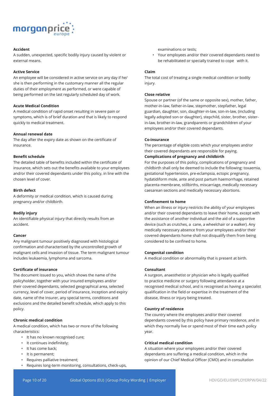

#### **Accident**

A sudden, unexpected, specific bodily injury caused by violent or external means.

#### **Active Service**

An employee will be considered in active service on any day if he/ she is then performing in the customary manner all the regular duties of their employment as performed, or were capable of being performed on the last regularly scheduled day of work.

#### **Acute Medical Condition**

A medical condition of rapid onset resulting in severe pain or symptoms, which is of brief duration and that is likely to respond quickly to medical treatment.

#### **Annual renewal date**

The day after the expiry date as shown on the certificate of insurance.

#### **Benefit schedule**

The detailed table of benefits included within the certificate of insurance, which sets out the benefits available to your employees and/or their covered dependants under this policy, in line with the chosen level of cover.

#### **Birth defect**

A deformity or medical condition, which is caused during pregnancy and/or childbirth.

#### **Bodily injury**

An identifiable physical injury that directly results from an accident.

#### **Cancer**

Any malignant tumour positively diagnosed with histological confirmation and characterised by the uncontrolled growth of malignant cells and invasion of tissue. The term malignant tumour includes leukaemia, lymphoma and sarcoma.

#### **Certificate of insurance**

The document issued to you, which shows the name of the policyholder, together with your insured employees and/or their covered dependants, selected geographical area, selected currency, level of cover, period of insurance, inception and expiry date, name of the Insurer, any special terms, conditions and exclusions and the detailed benefit schedule, which apply to this policy.

#### **Chronic medical condition**

A medical condition, which has two or more of the following characteristics:

- It has no known recognised cure;
- It continues indefinitely;
- It has come back;
- It is permanent;
- Requires palliative treatment;
- Requires long-term monitoring, consultations, check-ups,

examinations or tests;

• Your employees and/or their covered dependants need to be rehabilitated or specially trained to cope with it.

#### **Claim**

The total cost of treating a single medical condition or bodily injury.

#### **Close relative**

Spouse or partner (of the same or opposite sex), mother, father, mother-in-law, father-in-law, stepmother, stepfather, legal guardian, daughter, son, daughter-in-law, son-in-law, (including legally adopted son or daughter), stepchild, sister, brother, sisterin-law, brother-in-law, grandparents or grandchildren of your employees and/or their covered dependants.

#### **Co-insurance**

The percentage of eligible costs which your employees and/or their covered dependants are responsible for paying.

#### **Complications of pregnancy and childbirth**

For the purposes of this policy, complications of pregnancy and childbirth shall only be deemed to include the following: toxaemia, gestational hypertension, pre-eclampsia, ectopic pregnancy, hydatidiform mole, ante and post partum haemorrhage, retained placenta membrane, stillbirths, miscarriage, medically necessary caesarean sections and medically necessary abortions.

#### **Confinement to home**

When an illness or injury restricts the ability of your employees and/or their covered dependants to leave their home, except with the assistance of another individual and the aid of a supportive device (such as crutches, a cane, a wheelchair or a walker). Any medically necessary absence from your employees and/or their covered dependants home shall not disqualify them from being considered to be confined to home.

#### **Congenital condition**

A medical condition or abnormality that is present at birth.

#### **Consultant**

A surgeon, anaesthetist or physician who is legally qualified to practice medicine or surgery following attendance at a recognised medical school, and is recognised as having a specialist qualification in the field or expertise in the treatment of the disease, illness or injury being treated.

#### **Country of residence**

The country where the employees and/or their covered dependants covered by this policy have primary residence, and in which they normally live or spend most of their time each policy year.

#### **Critical medical condition**

A situation where your employees and/or their covered dependants are suffering a medical condition, which in the opinion of our Chief Medical Officer (CMO) and in consultation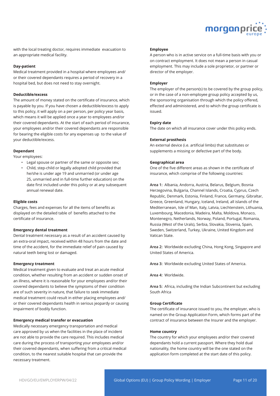

with the local treating doctor, requires immediate evacuation to an appropriate medical facility.

#### **Day-patient**

Medical treatment provided in a hospital where employees and/ or their covered dependants requires a period of recovery in a hospital bed, but does not need to stay overnight.

#### **Deductible/excess**

The amount of money stated on the certificate of insurance, which is payable by you. If you have chosen a deductible/excess to apply to this policy, it will apply on a per person, per policy year basis, which means it will be applied once a year to employees and/or their covered dependants. At the start of each period of insurance, your employees and/or their covered dependants are responsible for bearing the eligible costs for any expenses up to the value of your deductible/excess.

#### **Dependant**

Your employees:

- Legal spouse or partner of the same or opposite sex;
	- Child, step-child or legally adopted child provided that he/she is under age 19 and unmarried (or under age 25, unmarried and in full-time further education) on the date first included under this policy or at any subsequent annual renewal date.

#### **Eligible costs**

Charges, fees and expenses for all the items of benefits as displayed on the detailed table of benefits attached to the certificate of insurance.

#### **Emergency dental treatment**

Dental treatment necessary as a result of an accident caused by an extra-oral impact, received within 48 hours from the date and time of the accident, for the immediate relief of pain caused by natural teeth being lost or damaged.

#### **Emergency treatment**

Medical treatment given to evaluate and treat an acute medical condition, whether resulting from an accident or sudden onset of an illness, where it is reasonable for your employees and/or their covered dependants to believe the symptoms of their condition are of such severity in nature, that failure to seek immediate medical treatment could result in either placing employees and/ or their covered dependants health in serious jeopardy or causing impairment of bodily function.

#### **Emergency medical transfer or evacuation**

Medically necessary emergency transportation and medical care approved by us when the facilities in the place of incident are not able to provide the care required. This includes medical care during the process of transporting your employees and/or their covered dependants, when suffering from a critical medical condition, to the nearest suitable hospital that can provide the necessary treatment.

#### **Employee**

A person who is in active service on a full-time basis with you or on contract employment. It does not mean a person in casual employment. This may include a sole proprietor, or partner or director of the employer.

#### **Employer**

The employer of the person(s) to be covered by the group policy, or in the case of a non-employee group policy accepted by us, the sponsoring organisation through which the policy offered, effected and administered, and to which the group certificate is issued.

#### **Expiry date**

The date on which all insurance cover under this policy ends.

#### **External prosthesis**

An external device (i.e. artificial limbs) that substitutes or supplements a missing or defective part of the body.

#### **Geographical area**

One of the five different areas as shown in the certificate of insurance, which comprise of the following countries:

**Area 1:** Albania, Andorra, Austria, Belarus, Belgium, Bosnia Herzegovina, Bulgaria, Channel Islands, Croatia, Cyprus, Czech Republic, Denmark, Estonia, Finland, France, Germany, Gibraltar, Greece, Greenland, Hungary, Iceland, Ireland, all islands of the Mediterranean, Isle of Man, Italy, Latvia, Liechtenstein, Lithuania, Luxembourg, Macedonia, Madeira, Malta, Moldova, Monaco, Montenegro, Netherlands, Norway, Poland, Portugal, Romania, Russia (West of the Urals), Serbia, Slovakia, Slovenia, Spain, Sweden, Switzerland, Turkey, Ukraine, United Kingdom and Vatican State.

**Area 2:** Worldwide excluding China, Hong Kong, Singapore and United States of America.

**Area 3:** Worldwide excluding United States of America.

**Area 4:** Worldwide.

**Area 5:** Africa, including the Indian Subcontinent but excluding South Africa

#### **Group Certificate**

The certificate of insurance issued to you, the employer, who is named on the Group Application Form, which forms part of the contract of insurance between the Insurer and the employer.

#### **Home country**

The country for which your employees and/or their covered dependants hold a current passport. Where they hold dual nationality, the home country will be the one stated on the application form completed at the start date of this policy.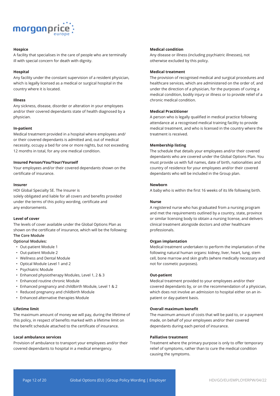

#### **Hospice**

A facility that specialises in the care of people who are terminally ill with special concern for death with dignity.

#### **Hospital**

Any facility under the constant supervision of a resident physician, which is legally licensed as a medical or surgical hospital in the country where it is located.

#### **Illness**

Any sickness, disease, disorder or alteration in your employees and/or their covered dependants state of health diagnosed by a physician.

#### **In-patient**

Medical treatment provided in a hospital where employees and/ or their covered dependants is admitted and, out of medical necessity, occupy a bed for one or more nights, but not exceeding 12 months in total, for any one medical condition.

#### **Insured Person/You/Your/Yourself**

Your employees and/or their covered dependants shown on the certificate of insurance.

#### **Insurer**

HDI Global Specialty SE. The Insurer is solely obligated and liable for all covers and benefits provided under the terms of this policy wording, certificate and any endorsements.

#### **Level of cover**

The levels of cover available under the Global Options Plan as shown on the certificate of insurance, which will be the following: **The Core Module**

#### **Optional Modules:**

- Out-patient Module 1
- Out-patient Module 2
- Wellness and Dental Module
- Optical Module Level 1 and 2
- Psychiatric Module
- Enhanced physiotherapy Modules, Level 1, 2 & 3
- Enhanced routine chronic Module
- Enhanced pregnancy and childbirth Module, Level 1 & 2
- Reduced pregnancy and childbirth Module
- Enhanced alternative therapies Module

#### **Lifetime limit**

The maximum amount of money we will pay, during the lifetime of this policy, in respect of benefits marked with a lifetime limit on the benefit schedule attached to the certificate of insurance.

#### **Local ambulance services**

Provision of ambulance to transport your employees and/or their covered dependants to hospital in a medical emergency.

#### **Medical condition**

Any disease or illness (including psychiatric illnesses), not otherwise excluded by this policy.

#### **Medical treatment**

The provision of recognised medical and surgical procedures and healthcare services, which are administered on the order of, and under the direction of a physician, for the purposes of curing a medical condition, bodily injury or illness or to provide relief of a chronic medical condition.

#### **Medical Practitioner**

A person who is legally qualified in medical practice following attendance at a recognised medical training facility to provide medical treatment, and who is licensed in the country where the treatment is received.

#### **Membership listing**

The schedule that details your employees and/or their covered dependants who are covered under the Global Options Plan. You must provide us with full names, date of birth, nationalities and country of residence for your employees and/or their covered dependants who will be included in the Group plan.

#### **Newborn**

A baby who is within the first 16 weeks of its life following birth.

#### **Nurse**

A registered nurse who has graduated from a nursing program and met the requirements outlined by a country, state, province or similar licensing body to obtain a nursing license, and delivers clinical treatment alongside doctors and other healthcare professionals.

#### **Organ implantation**

Medical treatment undertaken to perform the implantation of the following natural human organs: kidney, liver, heart, lung, stem cell, bone marrow and skin grafts (where medically necessary and not for cosmetic purposes).

#### **Out-patient**

Medical treatment provided to your employees and/or their covered dependants by, or on the recommendation of a physician, which does not involve an admission to hospital either on an inpatient or day-patient basis.

#### **Overall maximum benefit**

The maximum amount of costs that will be paid to, or a payment made, on behalf of your employees and/or their covered dependants during each period of insurance.

#### **Palliative treatment**

Treatment where the primary purpose is only to offer temporary relief of symptoms, rather than to cure the medical condition causing the symptoms.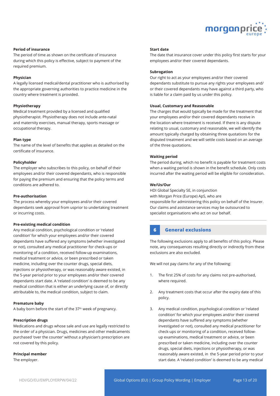

## **Period of insurance**

The period of time as shown on the certificate of insurance during which this policy is effective, subject to payment of the required premium.

#### **Physician**

A legally licensed medical/dental practitioner who is authorised by the appropriate governing authorities to practice medicine in the country where treatment is provided.

#### **Physiotherapy**

Medical treatment provided by a licensed and qualified physiotherapist. Physiotherapy does not include ante-natal and maternity exercises, manual therapy, sports massage or occupational therapy.

#### **Plan type**

The name of the level of benefits that applies as detailed on the certificate of insurance.

#### **Policyholder**

The employer who subscribes to this policy, on behalf of their employees and/or their covered dependants, who is responsible for paying the premium and ensuring that the policy terms and conditions are adhered to.

#### **Pre-authorisation**

The process whereby your employees and/or their covered dependants seek approval from usprior to undertaking treatment or incurring costs.

#### **Pre-existing medical condition**

Any medical condition, psychological condition or 'related condition' for which your employees and/or their covered dependants have suffered any symptoms (whether investigated or not), consulted any medical practitioner for check-ups or monitoring of a condition, received follow-up examinations, medical treatment or advice, or been prescribed or taken medicine, including over the counter drugs, special diets, injections or physiotherapy, or was reasonably aware existed, in the 5-year period prior to your employees and/or their covered dependants start date. A 'related condition' is deemed to be any medical condition that is either an underlying cause of, or directly attributable to, the medical condition, subject to claim.

#### **Premature baby**

A baby born before the start of the 37<sup>th</sup> week of pregnancy.

#### **Prescription drugs**

Medications and drugs whose sale and use are legally restricted to the order of a physician. Drugs, medicines and other medicaments purchased 'over the counter' without a physician's prescription are not covered by this policy.

#### **Principal member**

The employer.

#### **Start date**

The date that insurance cover under this policy first starts for your employees and/or their covered dependants.

#### **Subrogation**

Our right to act as your employees and/or their covered dependants substitute to pursue any rights your employees and/ or their covered dependants may have against a third party, who is liable for a claim paid by us under this policy.

#### **Usual, Customary and Reasonable**

The charges that would typically be made for the treatment that your employees and/or their covered dependants receive in the location where treatment is received. If there is any dispute relating to usual, customary and reasonable, we will identify the amount typically charged by obtaining three quotations for the disputed treatment and we will settle costs based on an average of the three quotations.

#### **Waiting period**

The period during, which no benefit is payable for treatment costs when a waiting period is shown in the benefit schedule. Only costs incurred after the waiting period will be eligible for consideration.

#### **We/Us/Our**

HDI Global Specialty SE, in conjunction with Morgan Price (Europe) ApS, who are responsible for administering this policy on behalf of the Insurer. Our claims and assistance services may be outsourced to specialist organisations who act on our behalf.

## **6 General exclusions**

The following exclusions apply to all benefits of this policy. Please note, any consequences resulting directly or indirectly from these exclusions are also excluded.

We will not pay claims for any of the following:

- 1. The first 25% of costs for any claims not pre-authorised, where required.
- 2. Any treatment costs that occur after the expiry date of this policy.
- 3. Any medical condition, psychological condition or 'related condition' for which your employees and/or their covered dependants have suffered any symptoms (whether investigated or not), consulted any medical practitioner for check-ups or monitoring of a condition, received followup examinations, medical treatment or advice, or been prescribed or taken medicine, including over the counter drugs, special diets, injections or physiotherapy, or was reasonably aware existed, in the 5-year period prior to your start date. A 'related condition' is deemed to be any medical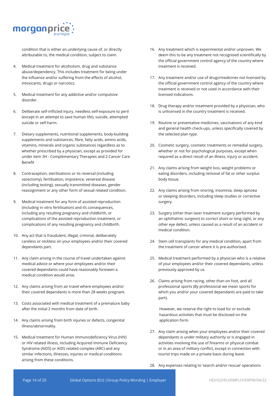

condition that is either an underlying cause of, or directly attributable to, the medical condition, subject to claim.

- 4. Medical treatment for alcoholism, drug and substance abuse/dependency. This includes treatment for being under the influence and/or suffering from the effects of alcohol, intoxicants, drugs or narcotics.
- 5. Medical treatment for any addictive and/or compulsive disorder.
- 6. Deliberate self-inflicted injury, needless self-exposure to peril (except in an attempt to save human life), suicide, attempted suicide or self-harm.
- 7. Dietary supplements, nutritional supplements, body-building supplements and substances, fibre, fatty acids, amino acids, vitamins, minerals and organic substances regardless as to whether prescribed by a physician, except as provided for under item 3H - Complementary Therapies and 2 Cancer Care Benefit
- 8. Contraception, sterilisations or its reversal (including vasectomy), fertilisation, impotence, venereal disease (including testing), sexually transmitted diseases, gender reassignment or any other form of sexual related condition.
- 9. Medical treatment for any form of assisted reproduction (including in vitro fertilisation) and its consequences, including any resulting pregnancy and childbirth, or complications of the assisted reproduction treatment, or complications of any resulting pregnancy and childbirth.
- 10. Any act that is fraudulent, illegal, criminal, deliberately careless or reckless on your employees and/or their covered dependants part.
- 11. Any claim arising in the course of travel undertaken against medical advice or where your employees and/or their covered dependants could have reasonably foreseen a medical condition would arise.
- 12. Any claims arising from air travel where employees and/or their covered dependants is more than 28 weeks pregnant.
- 13. Costs associated with medical treatment of a premature baby after the initial 2 months from date of birth.
- 14. Any claims arising from birth injuries or defects, congenital illness/abnormality.
- 15. Medical treatment for Human Immunodeficiency Virus (HIV) or HIV related illness, including Acquired Immune Deficiency Syndrome (AIDS) or AIDS related complex (ARC) and any similar infections, illnesses, injuries or medical conditions arising from these conditions.
- 16. Any treatment which is experimental and/or unproven. We deem this to be any treatment not recognised scientifically by the official government control agency of the country where treatment is received.
- 17. Any treatment and/or use of drugs/medicines not licensed by the official government control agency of the country where treatment is received or not used in accordance with their licensed indications.
- 18. Drug therapy and/or treatment provided by a physician, who is unlicensed in the country treatment is received.
- 19. Routine or preventative medicines, vaccinations of any kind and general health check-ups, unless specifically covered by the selected plan type.
- 20. Cosmetic surgery, cosmetic treatments or remedial surgery, whether or not for psychological purposes, except when required as a direct result of an illness, injury or accident.
- 21. Any claims arising from weight loss, weight problems or eating disorders, including removal of fat or other surplus body tissue.
- 22. Any claims arising from snoring, insomnia, sleep apnoea or sleeping disorders, including sleep studies or corrective surgery.
- 23. Surgery (other than laser treatment surgery performed by an ophthalmic surgeon) to correct short or long sight, or any other eye defect, unless caused as a result of an accident or medical condition.
- 24. Stem cell transplants for any medical condition, apart from the treatment of cancer where it is pre-authorised.
- 25. Medical treatment performed by a physician who is a relative of your employees and/or their covered dependants, unless previously approved by us.
- 26. Claims arising from racing, other than on foot, and all professional sports (By professional we mean sports for which you and/or your covered dependants are paid to take part).

However, we reserve the right to load for or exclude hazardous activities that must be disclosed on the application form.

- 27. Any claim arising when your employees and/or their covered dependants is under military authority or is engaged in activities involving the use of firearms or physical combat or in an area of military conflict, except in connection with tourist trips made on a private basis during leave.
- 28. Any expenses relating to 'search and/or rescue' operations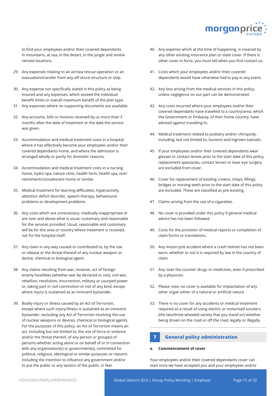

to find your employees and/or their covered dependants in mountains, at sea, in the desert, in the jungle and similar remote locations.

- 29. Any expenses relating to an air/sea rescue operation or an evacuation/transfer from any off-shore structure or ship.
- 30. Any expense not specifically stated in this policy as being insured and any expenses, which exceed the individual benefit limits or overall maximum benefit of the plan type.
- 31. Any expenses where no supporting documents are available.
- 32. Any accounts, bills or invoices received by us more than 3 months after the date of treatment or the date the service was given.
- 33. Accommodation and medical treatment costs in a hospital where it has effectively become your employees and/or their covered dependants home, and where the admission is arranged wholly or partly for domestic reasons.
- 34. Accommodation and medical treatment costs in a nursing home, hydro spa, nature clinic, health farm, health spa, rest/ retirement/convalescent home or similar.
- 35. Medical treatment for learning difficulties, hyperactivity, attention deficit disorder, speech therapy, behavioural problems or development problems.
- 36. Any costs which are unnecessary, medically inappropriate or are over and above what is usual, customary and reasonable for the services provided. Usual, reasonable and customary will be for the area or country where treatment is received, not for the hospital itself.
- 37. Any claim in any way caused or contributed to, by the use or release or the threat thereof of any nuclear weapon or device, chemical or biological agent.
- 38. Any claims resulting from war, invasion, act of foreign enemy hostilities (whether war be declared or not), civil war, rebellion, revolution, insurrection, military or usurped power or, taking part in civil commotion or riot of any kind, except where injury is sustained as an innocent bystander.
- 39. Bodily injury or illness caused by an Act of Terrorism, except where such injury/illness is sustained as an innocent bystander, excluding any Act of Terrorism involving the use of nuclear weapons or devices, chemical or biological agents. For the purposes of this policy, an Act of Terrorism means an act, including but not limited to, the use of force or violence and/or the threat thereof, of any person or group(s) of persons whether acting alone or on behalf of or in connection with any organisation(s) or government(s), committed for political, religious, ideological or similar purposes or reasons including the intention to influence any government and/or to put the public or any section of the public, in fear.
- 40. Any expense which at the time of happening, is covered by any other existing insurance plan or state cover. If there is other cover in force, you must tell when you first contact us.
- 41. Costs which your employees and/or their covered dependants would have otherwise had to pay in any event.
- 42. Any loss arising from the medical services in this policy, unless negligence on our part can be demonstrated.
- 43. Any costs incurred where your employees and/or their covered dependants have travelled to a country/area, which the Government or Embassy, of their home country, have advised against travelling to.
- 44. Medical treatment related to podiatry and/or chiropody, including, but not limited to, bunions and ingrown toenails.
- 45. If your employees and/or their covered dependants wear glasses or contact lenses prior to the start date of this policy, replacement spectacles, contact lenses or laser eye surgery are excluded from cover.
- 46. Cover for replacement of existing crowns, inlays, fillings, bridges or missing teeth prior to the start date of this policy are excluded. These are classified as pre-existing.
- 47. Claims arising from the use of e-cigarettes.
- 48. No cover is provided under this policy if general medical advice has not been followed.
- 49. Costs for the provision of medical reports or completion of claim forms or translations.
- 50. Any motorcycle accident where a crash helmet has not been worn, whether or not it is required by law in the country of claim.
- 51. Any 'over the counter' drugs or medicines, even if prescribed by a physician.
- 52. Please note, no cover is available for implantation of any other organ either of a natural or artificial nature.
- 53. There is no cover for any accidents or medical treatment required as a result of using electric or motorised scooters (the two/three wheeled variety that you stand on) whether being driven on the road or off the road, legally or illegally.

## **7 General policy administration**

#### **a. Commencement of cover**

Your employees and/or their covered dependants cover can start once we have accepted you and your employees and/or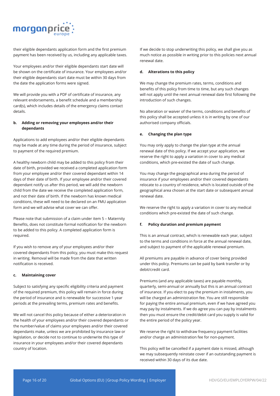

their eligible dependants application form and the first premium payment has been received by us, including any applicable taxes.

Your employees and/or their eligible dependants start date will be shown on the certificate of insurance. Your employees and/or their eligible dependants start date must be within 30 days from the date the application forms were signed.

We will provide you with a PDF of certificate of insurance, any relevant endorsements, a benefit schedule and a membership card(s), which includes details of the emergency claims contact details.

## **b. Adding or removing your employees and/or their dependants**

Applications to add employees and/or their eligible dependants may be made at any time during the period of insurance, subject to payment of the required premium.

A healthy newborn child may be added to this policy from their date of birth, provided we received a completed application form from your employee and/or their covered dependant within 14 days of their date of birth. If your employee and/or their covered dependant notify us after this period, we will add the newborn child from the date we receive the completed application form, and not their date of birth. If the newborn has known medical conditions, these will need to be declared on an FMU application form and we will advise what cover we can offer.

Please note that submission of a claim under item 5 – Maternity Benefits, does not constitute formal notification for the newborn to be added to this policy. A completed application form is required.

If you wish to remove any of your employees and/or their covered dependants from this policy, you must make this request in writing. Removal will be made from the date that written notification is received.

#### **c. Maintaining cover**

Subject to satisfying any specific eligibility criteria and payment of the required premium, this policy will remain in force during the period of insurance and is renewable for successive 1-year periods at the prevailing terms, premium rates and benefits.

We will not cancel this policy because of either a deterioration in the health of your employees and/or their covered dependants or the number/value of claims your employees and/or their covered dependants make, unless we are prohibited by insurance law or legislation, or decide not to continue to underwrite this type of insurance in your employees and/or their covered dependants country of location.

If we decide to stop underwriting this policy, we shall give you as much notice as possible in writing prior to this policies next annual renewal date.

#### **d. Alterations to this policy**

We may change the premium rates, terms, conditions and benefits of this policy from time to time, but any such changes will not apply until the next annual renewal date first following the introduction of such changes.

No alteration or waiver of the terms, conditions and benefits of this policy shall be accepted unless it is in writing by one of our authorised company officials.

#### **e. Changing the plan type**

You may only apply to change the plan type at the annual renewal date of this policy. If we accept your application, we reserve the right to apply a variation in cover to any medical conditions, which pre-existed the date of such change.

You may change the geographical area during the period of insurance if your employees and/or their covered dependants relocate to a country of residence, which is located outside of the geographical area chosen at the start date or subsequent annual renewal date.

We reserve the right to apply a variation in cover to any medical conditions which pre-existed the date of such change.

#### **f. Policy duration and premium payment**

This is an annual contract, which is renewable each year, subject to the terms and conditions in force at the annual renewal date, and subject to payment of the applicable renewal premium.

All premiums are payable in advance of cover being provided under this policy. Premiums can be paid by bank transfer or by debit/credit card.

Premiums (and any applicable taxes) are payable monthly, quarterly, semi-annual or annually but this is an annual contract of insurance. If you elect to pay the premium in instalments, you will be charged an administration fee. You are still responsible for paying the entire annual premium, even if we have agreed you may pay by instalments. If we do agree you can pay by instalments then you must ensure the credit/debit card you supply is valid for the entire period of the policy year.

We reserve the right to withdraw frequency payment facilities and/or charge an administration fee for non-payment.

This policy will be cancelled if a payment date is missed, although we may subsequently reinstate cover if an outstanding payment is received within 30 days of its due date.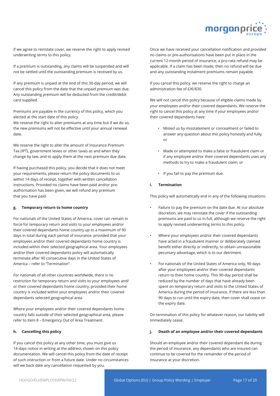

If we agree to reinstate cover, we reserve the right to apply revised underwriting terms to this policy.

If a premium is outstanding, any claims will be suspended and will not be settled until the outstanding premium is received by us.

If any premium is unpaid at the end of this 30-day period, we will cancel this policy from the date that the unpaid premium was due. Any outstanding premium will be deducted from the credit/debit card supplied.

Premiums are payable in the currency of this policy, which you elected at the start date of this policy.

We reserve the right to alter premiums at any time but if we do so, the new premiums will not be effective until your annual renewal date.

We reserve the right to alter the amount of Insurance Premium Tax (IPT), government levies or other taxes as and when they change by law, and to apply them at the next premium due date.

If having purchased this policy, you decide that it does not meet your requirements, please return the policy documents to us within 14 days of receipt, together with written cancellation instructions. Provided no claims have been paid and/or preauthorisation has been given, we will refund any premium that you have paid.

#### **g. Temporary return to home country**

For nationals of the United States of America, cover can remain in force for temporary return and visits to your employees and/or their covered dependants home country up to a maximum of 90 days in total during each period of insurance, provided that your employees and/or their covered dependants home country is included within their selected geographical area. Your employees and/or their covered dependants policy will automatically terminate after 90 consecutive days in the United States of America – refer to "Termination".

For nationals of all other countries worldwide, there is no restriction for temporary return and visits to your employees and/ or their covered dependants home country, provided their home country is included within your employees and/or their covered dependants selected geographical area.

Where your employees and/or their covered dependants home country falls outside of their selected geographical area, please refer to Item 8 – Emergency Out of Area Treatment.

#### **h. Cancelling this policy**

If you cancel this policy at any other time, you must give us 14 days notice in writing at the address shown on this policy documentation. We will cancel this policy from the date of receipt of such instruction or from a future date. Under no circumstances will we back date any cancellation requested by you.

Once we have received your cancellation notification and provided no claims or pre-authorisations have been put in place in the current 12-month period of insurance, a pro-rata refund may be applicable. If a claim has been made, then no refund will be due and any outstanding instalment premiums remain payable.

If you cancel this policy, we reserve the right to charge an administration fee of £/€/\$30.

We will not cancel this policy because of eligible claims made by your employees and/or their covered dependants. We reserve the right to cancel this policy at any time if your employees and/or their covered dependants have:

- Misled us by misstatement or concealment or failed to answer any question about this policy honestly and fully; or
- Made or attempted to make a false or fraudulent claim or if any employee and/or their covered dependants uses any methods to try to make a fraudulent claim; or
- If you fail to pay the premium due.

## **i. Termination**

This policy will automatically end in any of the following situations:

- Failure to pay the premium on the date due. At our absolute discretion, we may reinstate the cover if the outstanding premiums are paid to us in full, although we reserve the right to apply revised underwriting terms to this policy.
- Where your employees and/or their covered dependants have acted in a fraudulent manner or deliberately claimed benefit either directly or indirectly, to obtain unreasonable pecuniary advantage, which is to our detriment.
- For nationals of the United States of America only, 90 days after your employees and/or their covered dependants return to their home country. This 90-day period shall be reduced by the number of days that have already been spent on temporary return and visits to the United States of America during the period of insurance. If there are less than 90 days to run until the expiry date, then cover shall cease on the expiry date.

On termination of this policy for whatever reason, our liability will immediately cease.

## **j. Death of an employee and/or their covered dependants**

Should an employee and/or their covered dependant die during the period of insurance, any dependants who are insured can continue to be covered for the remainder of the period of insurance at your discretion.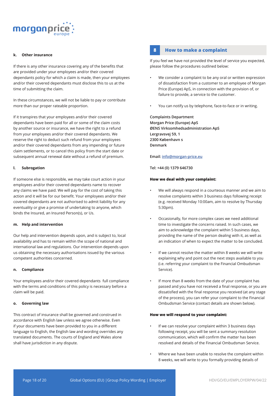

#### **k. Other insurance**

If there is any other insurance covering any of the benefits that are provided under your employees and/or their covered dependants policy for which a claim is made, then your employees and/or their covered dependants must disclose this to us at the time of submitting the claim.

In these circumstances, we will not be liable to pay or contribute more than our proper rateable proportion.

If it transpires that your employees and/or their covered dependants have been paid for all or some of the claim costs by another source or insurance, we have the right to a refund from your employees and/or their covered dependants. We reserve the right to deduct such refund from your employees and/or their covered dependants from any impending or future claim settlements, or to cancel this policy from the start date or subsequent annual renewal date without a refund of premium.

#### **l. Subrogation**

If someone else is responsible, we may take court action in your employees and/or their covered dependants name to recover any claims we have paid. We will pay for the cost of taking this action and it will be for our benefit. Your employees and/or their covered dependants are not authorised to admit liability for any eventuality or give a promise of undertaking to anyone, which binds the Insured, an Insured Person(s), or Us.

#### **m. Help and intervention**

Our help and intervention depends upon, and is subject to, local availability and has to remain within the scope of national and international law and regulations. Our intervention depends upon us obtaining the necessary authorisations issued by the various competent authorities concerned.

#### **n. Compliance**

Your employees and/or their covered dependants full compliance with the terms and conditions of this policy is necessary before a claim will be paid.

#### **o. Governing law**

This contract of insurance shall be governed and construed in accordance with English law unless we agree otherwise. Even if your documents have been provided to you in a different language to English, the English law and wording overrides any translated documents. The courts of England and Wales alone shall have jurisdiction in any dispute.

## **8 How to make a complaint**

If you feel we have not provided the level of service you expected, please follow the procedures outlined below:

- We consider a complaint to be any oral or written expression of dissatisfaction from a customer to an employee of Morgan Price (Europe) ApS, in connection with the provision of, or failure to provide, a service to the customer.
- You can notify us by telephone, face-to-face or in writing.

**Complaints Department Morgan Price (Europe) ApS ØENS Virksomhedsadministration ApS Lergravsvej 59, 1 2300 København s Denmark**

#### **Email: info@morgan-price.eu**

**Tel: +44 (0) 1379 646730**

#### **How we deal with your complaint:**

- We will always respond in a courteous manner and we aim to resolve complaints within 3 business days following receipt (e.g. received Monday 10:00am, aim to resolve by Thursday 5:30pm).
- Occasionally, for more complex cases we need additional time to investigate the concerns raised. In such cases, we aim to acknowledge the complaint within 5 business days, providing the name of the person dealing with it, as well as an indication of when to expect the matter to be concluded.
- If we cannot resolve the matter within 8 weeks we will write explaining why and point out the next steps available to you (i.e. referring your complaint to the Financial Ombudsman Service).
- If more than 8 weeks from the date of your complaint has passed and you have not received a final response, or you are dissatisfied with the final response you received (at any stage of the process), you can refer your complaint to the Financial Ombudsman Service (contact details are shown below).

#### **How we will respond to your complaint:**

- If we can resolve your complaint within 3 business days following receipt, you will be sent a summary resolution communication, which will confirm the matter has been resolved and details of the Financial Ombudsman Service.
- Where we have been unable to resolve the complaint within 8 weeks, we will write to you formally providing details of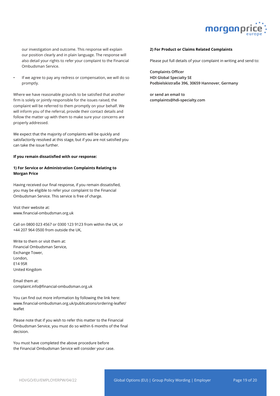

our investigation and outcome. This response will explain our position clearly and in plain language. The response will also detail your rights to refer your complaint to the Financial Ombudsman Service.

If we agree to pay any redress or compensation, we will do so promptly.

Where we have reasonable grounds to be satisfied that another firm is solely or jointly responsible for the issues raised, the complaint will be referred to them promptly on your behalf. We will inform you of the referral, provide their contact details and follow the matter up with them to make sure your concerns are properly addressed.

We expect that the majority of complaints will be quickly and satisfactorily resolved at this stage, but if you are not satisfied you can take the issue further.

#### **If you remain dissatisfied with our response:**

#### **1) For Service or Administration Complaints Relating to Morgan Price**

Having received our final response, if you remain dissatisfied, you may be eligible to refer your complaint to the Financial Ombudsman Service. This service is free of charge.

Visit their website at: www.financial-ombudsman.org.uk

Call on 0800 023 4567 or 0300 123 9123 from within the UK, or +44 207 964 0500 from outside the UK,

Write to them or visit them at: Financial Ombudsman Service, Exchange Tower, London, E14 9SR United Kingdom

Email them at: complaint.info@financial-ombudsman.org.uk

You can find out more information by following the link here: www.financial-ombudsman.org.uk/publications/ordering-leaflet/ leaflet

Please note that if you wish to refer this matter to the Financial Ombudsman Service, you must do so within 6 months of the final decision.

You must have completed the above procedure before the Financial Ombudsman Service will consider your case.

#### **2) For Product or Claims Related Complaints**

Please put full details of your complaint in writing and send to:

**Complaints Officer HDI Global Specialty SE Podbielskistraße 396, 30659 Hannover, Germany**

**or send an email to complaints@hdi-specialty.com**